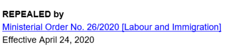

## Ministerial Order No. 26/2020 [Labour and Immigration]

## Effective April 24, 2020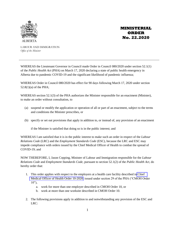

**MINISTERIAL ORDER No. 22.2020**

LABOUR AND IMMIGRATION *Office of the Minister*

WHEREAS the Lieutenant Governor in Council made Order in Council 080/2020 under section 52.1(1) of the *Public Health Act* (PHA) on March 17, 2020 declaring a state of public health emergency in Alberta due to pandemic COVID-19 and the significant likelihood of pandemic influenza;

WHEREAS Order in Council 080/2020 has effect for 90 days following March 17, 2020 under section 52.8(1)(a) of the PHA;

WHEREAS section 52.1(3) of the PHA authorizes the Minister responsible for an enactment (Minister), to make an order without consultation, to

- (a) suspend or modify the application or operation of all or part of an enactment, subject to the terms and conditions the Minister prescribes, or
- (b) specify or set out provisions that apply in addition to, or instead of, any provision of an enactment

if the Minister is satisfied that doing so is in the public interest; and

WHEREAS I am satisfied that it is in the public interest to make such an order in respect of the *Labour Relations Code* (LRC) and the *Employment Standards Code* (ESC), because the LRC and ESC may impede compliance with orders issued by the Chief Medical Officer of Health to combat the spread of COVID-19; and

NOW THEREFORE, I, Jason Copping, Minister of Labour and Immigration responsible for the *Labour Relations Code* and *Employment Standards Code,* pursuant to section 52.1(2) of the *Public Health Act*, do hereby order that:

- 1. This order applies with respect to the employers at a health care facility described in [Chief](https://open.alberta.ca/publications/cmoh-order-10-2020-2020-covid-19-response)  [Medical Officer of Health Order 10-2020,](https://open.alberta.ca/publications/cmoh-order-10-2020-2020-covid-19-response) issued under section 29 of the PHA ("CMOH Order  $10"$ ).
	- a. work for more than one employer described in CMOH Order 10, or
	- b. work at more than one worksite described in CMOH Order 10.
- 2. The following provisions apply in addition to and notwithstanding any provision of the ESC and LRC: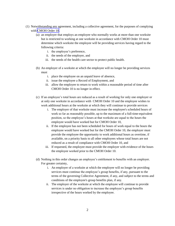- (1) Notwithstanding any agreement, including a collective agreement, for the purposes of complying with [CMOH Order 10,](https://open.alberta.ca/publications/cmoh-order-10-2020-2020-covid-19-response)
	- (a) an employer that employs an employee who normally works at more than one worksite but is restricted to working at one worksite in accordance with CMOH Order 10 must determine which worksite the employee will be providing services having regard to the following criteria:
		- i. the employee's preference,
		- ii. the needs of the employer, and
		- iii. the needs of the health care sector to protect public health.
	- (b) An employer of a worksite at which the employee will no longer be providing services must
		- i. place the employee on an unpaid leave of absence,
		- ii. issue the employee a Record of Employment, and
		- iii. allow the employee to return to work within a reasonable period of time after CMOH Order 10 is no longer in effect.
	- (c) If an employee's total hours are reduced as a result of working for only one employer or at only one worksite in accordance with CMOH Order 10 and the employee wishes to work additional hours at the worksite at which they will continue to provide services
		- i. The employer of that worksite must increase the employee's scheduled hours of work so far as reasonably possible, up to the maximum of a full-time-equivalent position, so the employee's hours at that worksite are equal to the hours the employee would have worked but for CMOH Order 10,
		- ii. If the employee has not been scheduled for hours of work equal to the hours the employee would have worked but for the CMOH Order 10, the employer must provide the employee the opportunity to work additional hours as overtime, if available, on a priority basis to all other employees whose total hours are not reduced as a result of compliance with CMOH Order 10, and
		- iii. If requested, the employee must provide the employer with evidence of the hours the employee worked prior to the CMOH Order 10.
	- (d) Nothing in this order changes an employee's entitlement to benefits with an employer. For greater certainty,
		- i. An employer of a worksite at which the employee will no longer be providing services must continue the employee's group benefits, if any, pursuant to the terms of the governing Collective Agreement, if any, and subject to the terms and conditions of the employee's group benefits plan, if any.
		- ii. The employer of the worksite at which the employee will continue to provide services is under no obligation to increase the employee's group benefits irrespective of the hours worked by the employee.